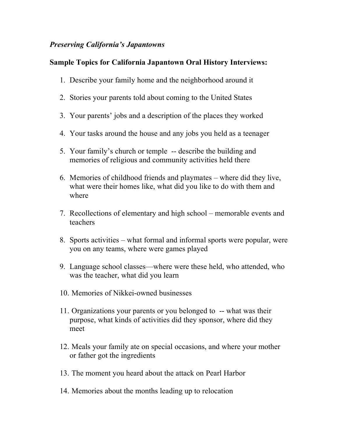## *Preserving California's Japantowns*

## **Sample Topics for California Japantown Oral History Interviews:**

- 1. Describe your family home and the neighborhood around it
- 2. Stories your parents told about coming to the United States
- 3. Your parents' jobs and a description of the places they worked
- 4. Your tasks around the house and any jobs you held as a teenager
- 5. Your family's church or temple -- describe the building and memories of religious and community activities held there
- 6. Memories of childhood friends and playmates where did they live, what were their homes like, what did you like to do with them and where
- 7. Recollections of elementary and high school memorable events and teachers
- 8. Sports activities what formal and informal sports were popular, were you on any teams, where were games played
- 9. Language school classes—where were these held, who attended, who was the teacher, what did you learn
- 10. Memories of Nikkei-owned businesses
- 11. Organizations your parents or you belonged to -- what was their purpose, what kinds of activities did they sponsor, where did they meet
- 12. Meals your family ate on special occasions, and where your mother or father got the ingredients
- 13. The moment you heard about the attack on Pearl Harbor
- 14. Memories about the months leading up to relocation